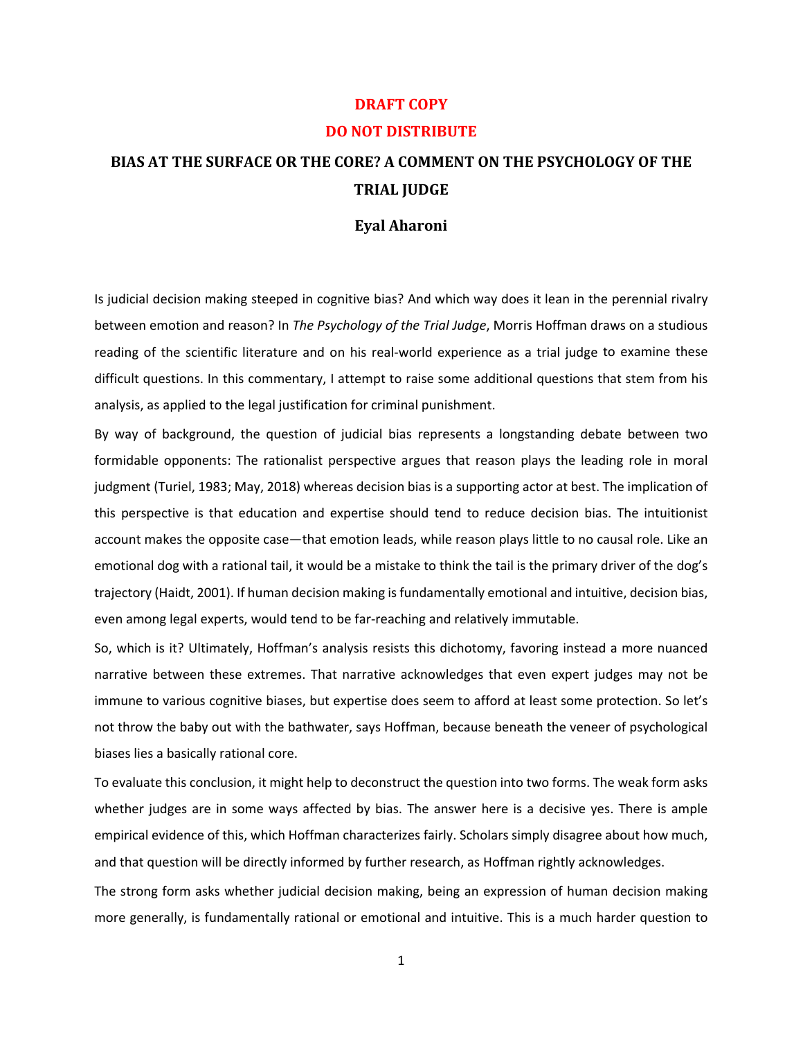## **DRAFT COPY DO NOT DISTRIBUTE**

## **BIAS AT THE SURFACE OR THE CORE? A COMMENT ON THE PSYCHOLOGY OF THE TRIAL JUDGE**

## **Eyal Aharoni**

Is judicial decision making steeped in cognitive bias? And which way does it lean in the perennial rivalry between emotion and reason? In *The Psychology of the Trial Judge*, Morris Hoffman draws on a studious reading of the scientific literature and on his real-world experience as a trial judge to examine these difficult questions. In this commentary, I attempt to raise some additional questions that stem from his analysis, as applied to the legal justification for criminal punishment.

By way of background, the question of judicial bias represents a longstanding debate between two formidable opponents: The rationalist perspective argues that reason plays the leading role in moral judgment (Turiel, 1983; May, 2018) whereas decision bias is a supporting actor at best. The implication of this perspective is that education and expertise should tend to reduce decision bias. The intuitionist account makes the opposite case—that emotion leads, while reason plays little to no causal role. Like an emotional dog with a rational tail, it would be a mistake to think the tail is the primary driver of the dog's trajectory (Haidt, 2001). If human decision making isfundamentally emotional and intuitive, decision bias, even among legal experts, would tend to be far-reaching and relatively immutable.

So, which is it? Ultimately, Hoffman's analysis resists this dichotomy, favoring instead a more nuanced narrative between these extremes. That narrative acknowledges that even expert judges may not be immune to various cognitive biases, but expertise does seem to afford at least some protection. So let's not throw the baby out with the bathwater, says Hoffman, because beneath the veneer of psychological biases lies a basically rational core.

To evaluate this conclusion, it might help to deconstruct the question into two forms. The weak form asks whether judges are in some ways affected by bias. The answer here is a decisive yes. There is ample empirical evidence of this, which Hoffman characterizes fairly. Scholars simply disagree about how much, and that question will be directly informed by further research, as Hoffman rightly acknowledges.

The strong form asks whether judicial decision making, being an expression of human decision making more generally, is fundamentally rational or emotional and intuitive. This is a much harder question to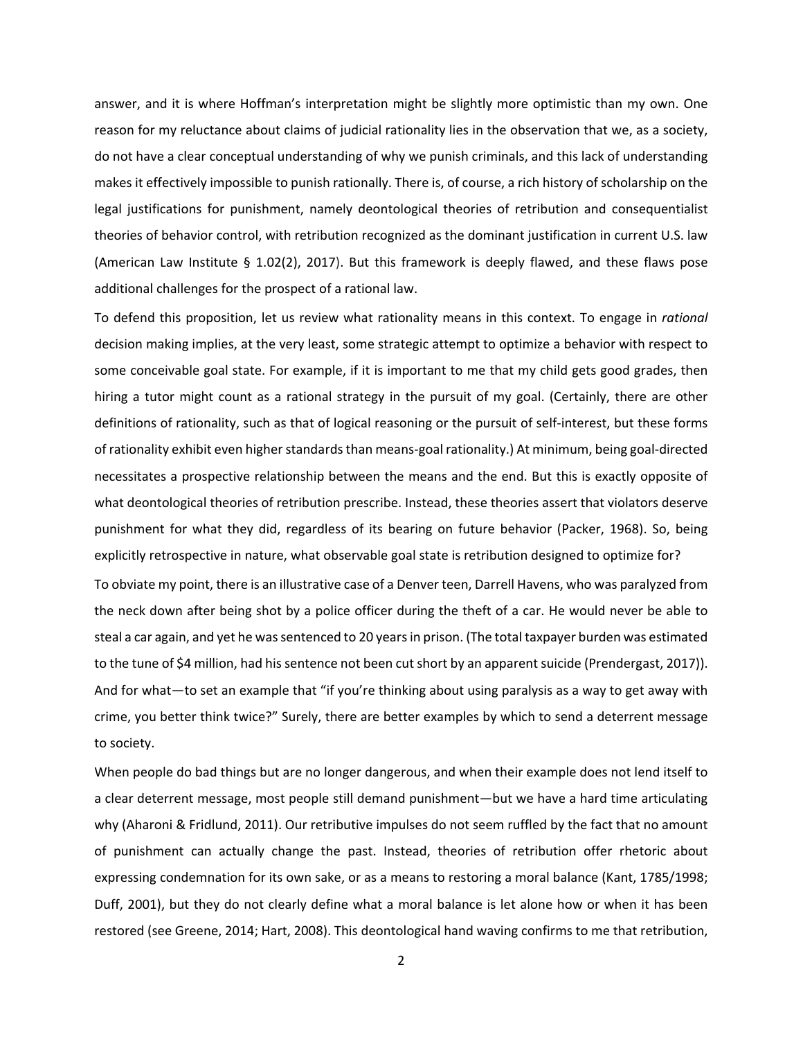answer, and it is where Hoffman's interpretation might be slightly more optimistic than my own. One reason for my reluctance about claims of judicial rationality lies in the observation that we, as a society, do not have a clear conceptual understanding of why we punish criminals, and this lack of understanding makes it effectively impossible to punish rationally. There is, of course, a rich history of scholarship on the legal justifications for punishment, namely deontological theories of retribution and consequentialist theories of behavior control, with retribution recognized as the dominant justification in current U.S. law (American Law Institute § 1.02(2), 2017). But this framework is deeply flawed, and these flaws pose additional challenges for the prospect of a rational law.

To defend this proposition, let us review what rationality means in this context. To engage in *rational* decision making implies, at the very least, some strategic attempt to optimize a behavior with respect to some conceivable goal state. For example, if it is important to me that my child gets good grades, then hiring a tutor might count as a rational strategy in the pursuit of my goal. (Certainly, there are other definitions of rationality, such as that of logical reasoning or the pursuit of self‐interest, but these forms of rationality exhibit even higher standards than means-goal rationality.) At minimum, being goal-directed necessitates a prospective relationship between the means and the end. But this is exactly opposite of what deontological theories of retribution prescribe. Instead, these theories assert that violators deserve punishment for what they did, regardless of its bearing on future behavior (Packer, 1968). So, being explicitly retrospective in nature, what observable goal state is retribution designed to optimize for?

To obviate my point, there is an illustrative case of a Denver teen, Darrell Havens, who was paralyzed from the neck down after being shot by a police officer during the theft of a car. He would never be able to steal a car again, and yet he was sentenced to 20 years in prison. (The total taxpayer burden was estimated to the tune of \$4 million, had his sentence not been cut short by an apparent suicide (Prendergast, 2017)). And for what—to set an example that "if you're thinking about using paralysis as a way to get away with crime, you better think twice?" Surely, there are better examples by which to send a deterrent message to society.

When people do bad things but are no longer dangerous, and when their example does not lend itself to a clear deterrent message, most people still demand punishment—but we have a hard time articulating why (Aharoni & Fridlund, 2011). Our retributive impulses do not seem ruffled by the fact that no amount of punishment can actually change the past. Instead, theories of retribution offer rhetoric about expressing condemnation for its own sake, or as a means to restoring a moral balance (Kant, 1785/1998; Duff, 2001), but they do not clearly define what a moral balance is let alone how or when it has been restored (see Greene, 2014; Hart, 2008). This deontological hand waving confirms to me that retribution,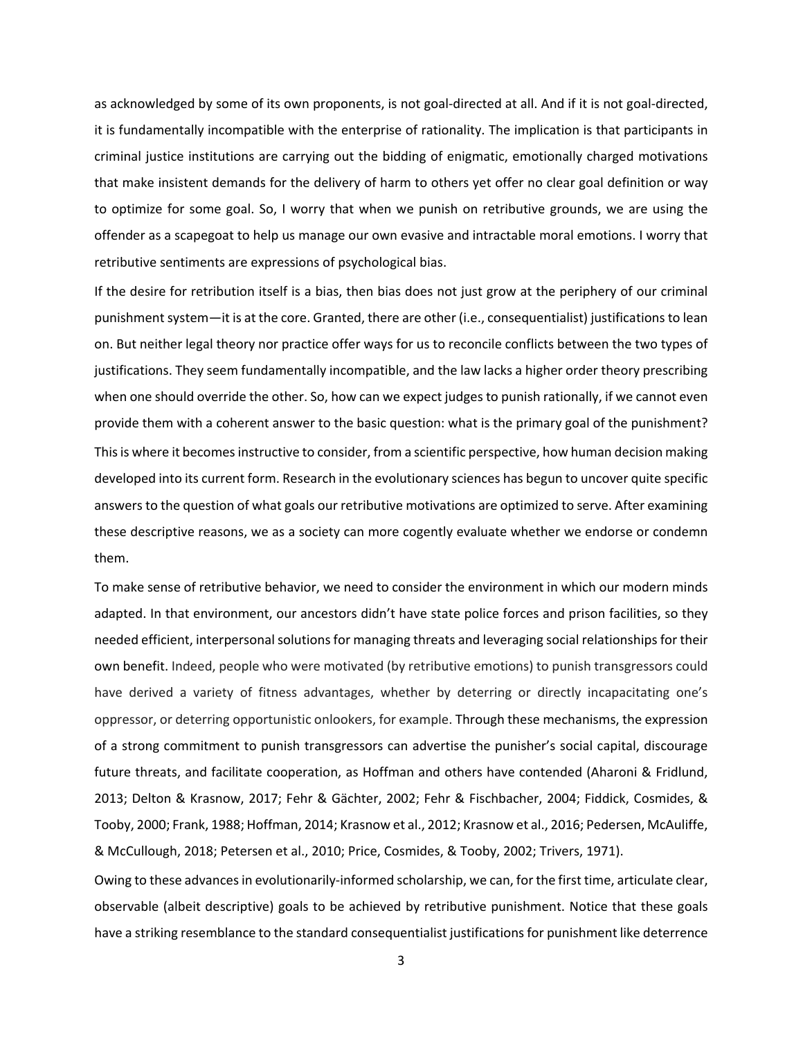as acknowledged by some of its own proponents, is not goal‐directed at all. And if it is not goal‐directed, it is fundamentally incompatible with the enterprise of rationality. The implication is that participants in criminal justice institutions are carrying out the bidding of enigmatic, emotionally charged motivations that make insistent demands for the delivery of harm to others yet offer no clear goal definition or way to optimize for some goal. So, I worry that when we punish on retributive grounds, we are using the offender as a scapegoat to help us manage our own evasive and intractable moral emotions. I worry that retributive sentiments are expressions of psychological bias.

If the desire for retribution itself is a bias, then bias does not just grow at the periphery of our criminal punishment system—it is at the core. Granted, there are other (i.e., consequentialist) justifications to lean on. But neither legal theory nor practice offer ways for us to reconcile conflicts between the two types of justifications. They seem fundamentally incompatible, and the law lacks a higher order theory prescribing when one should override the other. So, how can we expect judges to punish rationally, if we cannot even provide them with a coherent answer to the basic question: what is the primary goal of the punishment? This is where it becomes instructive to consider, from a scientific perspective, how human decision making developed into its current form. Research in the evolutionary sciences has begun to uncover quite specific answersto the question of what goals our retributive motivations are optimized to serve. After examining these descriptive reasons, we as a society can more cogently evaluate whether we endorse or condemn them.

To make sense of retributive behavior, we need to consider the environment in which our modern minds adapted. In that environment, our ancestors didn't have state police forces and prison facilities, so they needed efficient, interpersonal solutions for managing threats and leveraging social relationships for their own benefit. Indeed, people who were motivated (by retributive emotions) to punish transgressors could have derived a variety of fitness advantages, whether by deterring or directly incapacitating one's oppressor, or deterring opportunistic onlookers, for example. Through these mechanisms, the expression of a strong commitment to punish transgressors can advertise the punisher's social capital, discourage future threats, and facilitate cooperation, as Hoffman and others have contended (Aharoni & Fridlund, 2013; Delton & Krasnow, 2017; Fehr & Gächter, 2002; Fehr & Fischbacher, 2004; Fiddick, Cosmides, & Tooby, 2000; Frank, 1988; Hoffman, 2014; Krasnow et al., 2012; Krasnow et al., 2016; Pedersen, McAuliffe, & McCullough, 2018; Petersen et al., 2010; Price, Cosmides, & Tooby, 2002; Trivers, 1971).

Owing to these advances in evolutionarily-informed scholarship, we can, for the first time, articulate clear, observable (albeit descriptive) goals to be achieved by retributive punishment. Notice that these goals have a striking resemblance to the standard consequentialist justifications for punishment like deterrence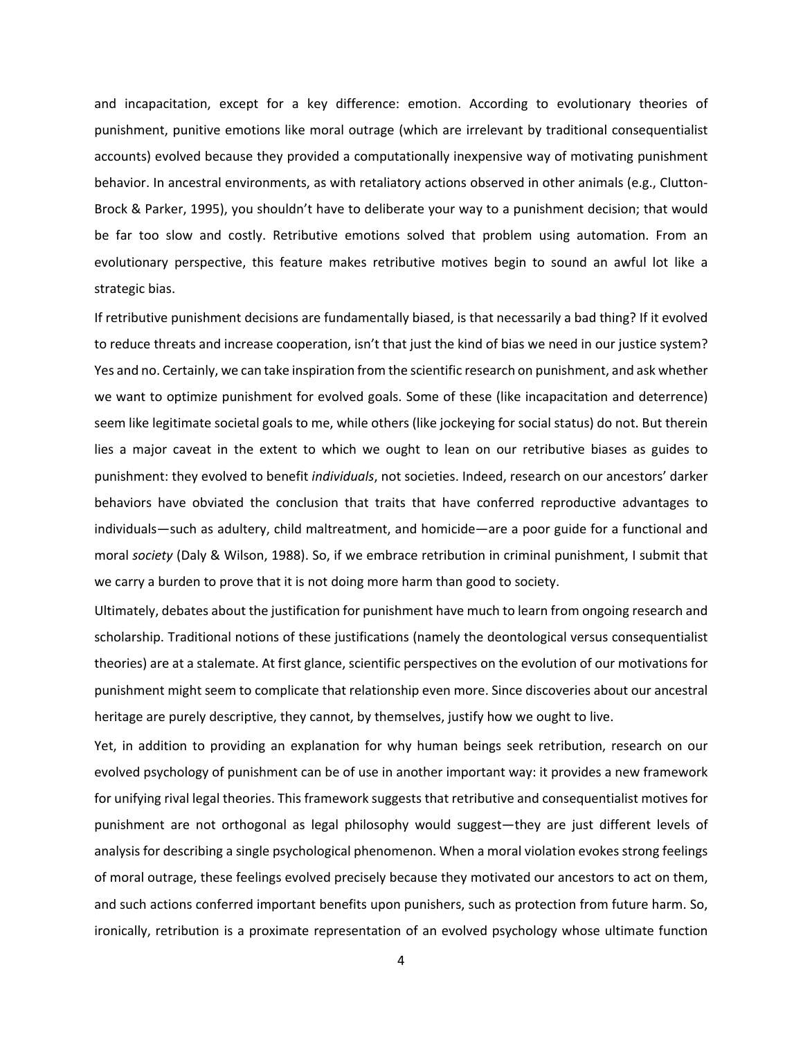and incapacitation, except for a key difference: emotion. According to evolutionary theories of punishment, punitive emotions like moral outrage (which are irrelevant by traditional consequentialist accounts) evolved because they provided a computationally inexpensive way of motivating punishment behavior. In ancestral environments, as with retaliatory actions observed in other animals (e.g., Clutton-Brock & Parker, 1995), you shouldn't have to deliberate your way to a punishment decision; that would be far too slow and costly. Retributive emotions solved that problem using automation. From an evolutionary perspective, this feature makes retributive motives begin to sound an awful lot like a strategic bias.

If retributive punishment decisions are fundamentally biased, is that necessarily a bad thing? If it evolved to reduce threats and increase cooperation, isn't that just the kind of bias we need in our justice system? Yes and no. Certainly, we can take inspiration from the scientific research on punishment, and ask whether we want to optimize punishment for evolved goals. Some of these (like incapacitation and deterrence) seem like legitimate societal goals to me, while others (like jockeying for social status) do not. But therein lies a major caveat in the extent to which we ought to lean on our retributive biases as guides to punishment: they evolved to benefit *individuals*, not societies. Indeed, research on our ancestors' darker behaviors have obviated the conclusion that traits that have conferred reproductive advantages to individuals—such as adultery, child maltreatment, and homicide—are a poor guide for a functional and moral *society* (Daly & Wilson, 1988). So, if we embrace retribution in criminal punishment, I submit that we carry a burden to prove that it is not doing more harm than good to society.

Ultimately, debates about the justification for punishment have much to learn from ongoing research and scholarship. Traditional notions of these justifications (namely the deontological versus consequentialist theories) are at a stalemate. At first glance, scientific perspectives on the evolution of our motivations for punishment might seem to complicate that relationship even more. Since discoveries about our ancestral heritage are purely descriptive, they cannot, by themselves, justify how we ought to live.

Yet, in addition to providing an explanation for why human beings seek retribution, research on our evolved psychology of punishment can be of use in another important way: it provides a new framework for unifying rival legal theories. This framework suggests that retributive and consequentialist motives for punishment are not orthogonal as legal philosophy would suggest—they are just different levels of analysis for describing a single psychological phenomenon. When a moral violation evokes strong feelings of moral outrage, these feelings evolved precisely because they motivated our ancestors to act on them, and such actions conferred important benefits upon punishers, such as protection from future harm. So, ironically, retribution is a proximate representation of an evolved psychology whose ultimate function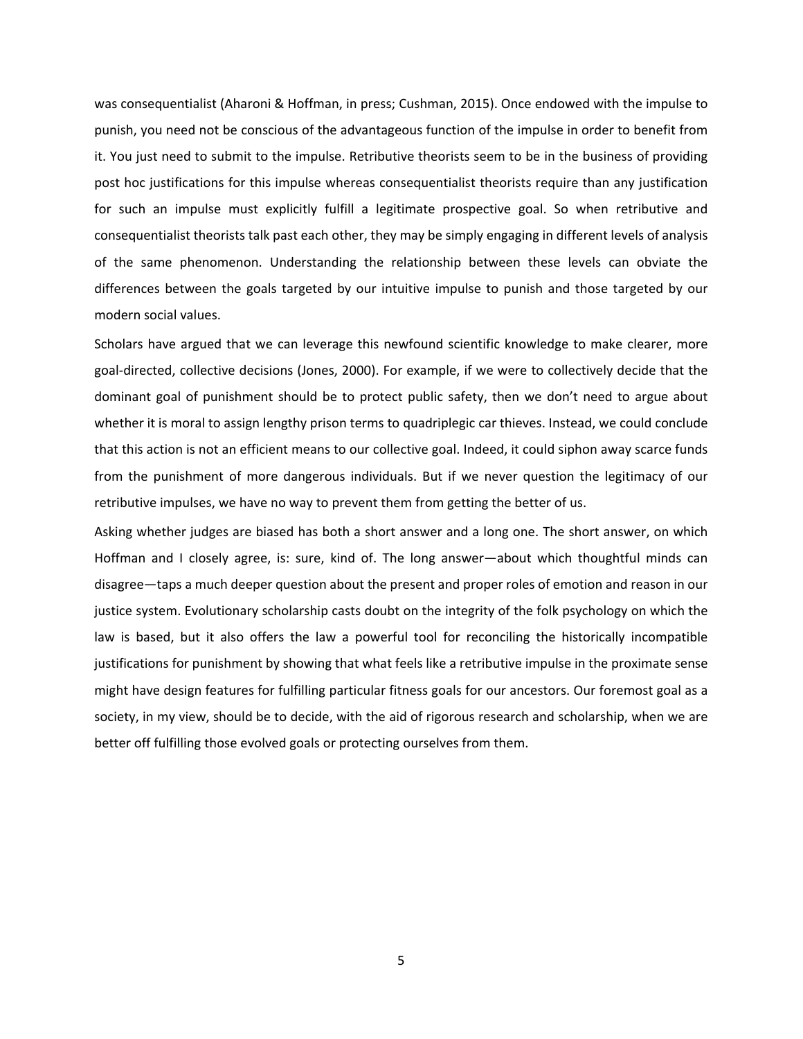was consequentialist (Aharoni & Hoffman, in press; Cushman, 2015). Once endowed with the impulse to punish, you need not be conscious of the advantageous function of the impulse in order to benefit from it. You just need to submit to the impulse. Retributive theorists seem to be in the business of providing post hoc justifications for this impulse whereas consequentialist theorists require than any justification for such an impulse must explicitly fulfill a legitimate prospective goal. So when retributive and consequentialist theorists talk past each other, they may be simply engaging in different levels of analysis of the same phenomenon. Understanding the relationship between these levels can obviate the differences between the goals targeted by our intuitive impulse to punish and those targeted by our modern social values.

Scholars have argued that we can leverage this newfound scientific knowledge to make clearer, more goal‐directed, collective decisions (Jones, 2000). For example, if we were to collectively decide that the dominant goal of punishment should be to protect public safety, then we don't need to argue about whether it is moral to assign lengthy prison terms to quadriplegic car thieves. Instead, we could conclude that this action is not an efficient means to our collective goal. Indeed, it could siphon away scarce funds from the punishment of more dangerous individuals. But if we never question the legitimacy of our retributive impulses, we have no way to prevent them from getting the better of us.

Asking whether judges are biased has both a short answer and a long one. The short answer, on which Hoffman and I closely agree, is: sure, kind of. The long answer—about which thoughtful minds can disagree—taps a much deeper question about the present and proper roles of emotion and reason in our justice system. Evolutionary scholarship casts doubt on the integrity of the folk psychology on which the law is based, but it also offers the law a powerful tool for reconciling the historically incompatible justifications for punishment by showing that what feels like a retributive impulse in the proximate sense might have design features for fulfilling particular fitness goals for our ancestors. Our foremost goal as a society, in my view, should be to decide, with the aid of rigorous research and scholarship, when we are better off fulfilling those evolved goals or protecting ourselves from them.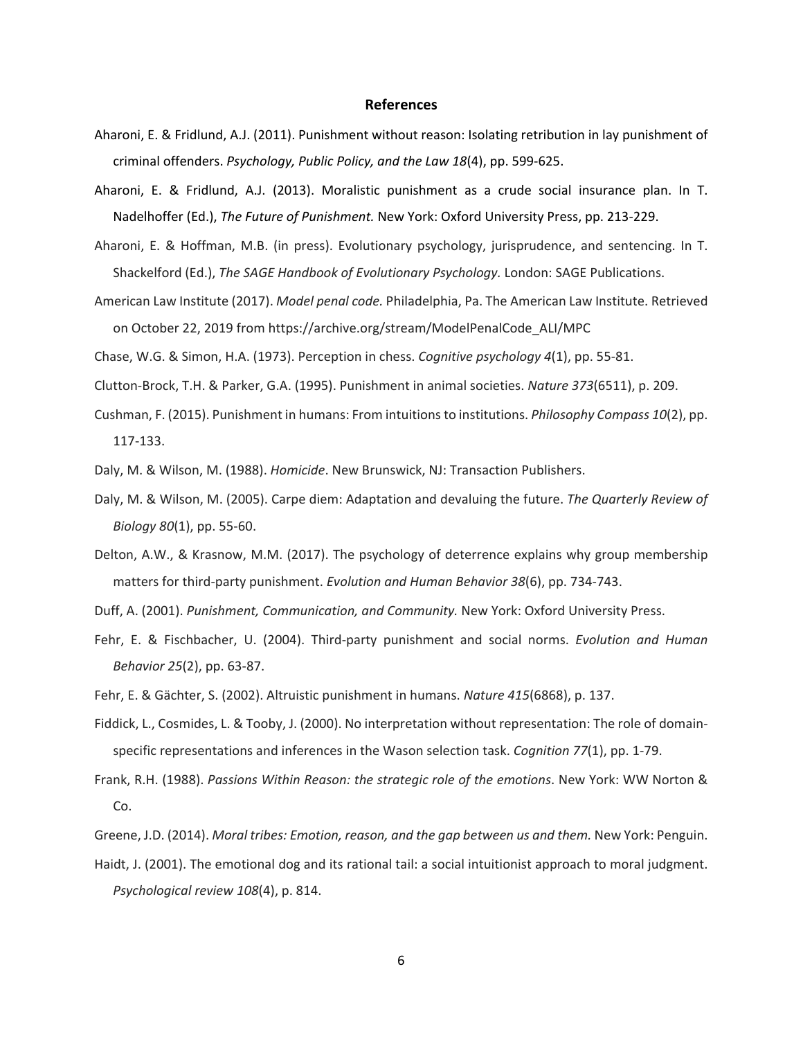## **References**

- Aharoni, E. & Fridlund, A.J. (2011). Punishment without reason: Isolating retribution in lay punishment of criminal offenders. *Psychology, Public Policy, and the Law 18*(4), pp. 599‐625.
- Aharoni, E. & Fridlund, A.J. (2013). Moralistic punishment as a crude social insurance plan. In T. Nadelhoffer (Ed.), *The Future of Punishment.* New York: Oxford University Press, pp. 213‐229.
- Aharoni, E. & Hoffman, M.B. (in press). Evolutionary psychology, jurisprudence, and sentencing. In T. Shackelford (Ed.), *The SAGE Handbook of Evolutionary Psychology.* London: SAGE Publications.
- American Law Institute (2017). *Model penal code.* Philadelphia, Pa. The American Law Institute. Retrieved on October 22, 2019 from https://archive.org/stream/ModelPenalCode\_ALI/MPC

Chase, W.G. & Simon, H.A. (1973). Perception in chess. *Cognitive psychology 4*(1), pp. 55‐81.

Clutton‐Brock, T.H. & Parker, G.A. (1995). Punishment in animal societies. *Nature 373*(6511), p. 209.

Cushman, F. (2015). Punishment in humans: From intuitionsto institutions. *Philosophy Compass 10*(2), pp. 117‐133.

Daly, M. & Wilson, M. (1988). *Homicide*. New Brunswick, NJ: Transaction Publishers.

- Daly, M. & Wilson, M. (2005). Carpe diem: Adaptation and devaluing the future. *The Quarterly Review of Biology 80*(1), pp. 55‐60.
- Delton, A.W., & Krasnow, M.M. (2017). The psychology of deterrence explains why group membership matters for third‐party punishment. *Evolution and Human Behavior 38*(6), pp. 734‐743.

Duff, A. (2001). *Punishment, Communication, and Community.* New York: Oxford University Press.

Fehr, E. & Fischbacher, U. (2004). Third‐party punishment and social norms. *Evolution and Human Behavior 25*(2), pp. 63‐87.

Fehr, E. & Gächter, S. (2002). Altruistic punishment in humans. *Nature 415*(6868), p. 137.

- Fiddick, L., Cosmides, L. & Tooby, J. (2000). No interpretation without representation: The role of domain‐ specific representations and inferences in the Wason selection task. *Cognition 77*(1), pp. 1‐79.
- Frank, R.H. (1988). *Passions Within Reason: the strategic role of the emotions*. New York: WW Norton & Co.
- Greene, J.D. (2014). *Moral tribes: Emotion, reason, and the gap between us and them.* New York: Penguin.
- Haidt, J. (2001). The emotional dog and its rational tail: a social intuitionist approach to moral judgment. *Psychological review 108*(4), p. 814.